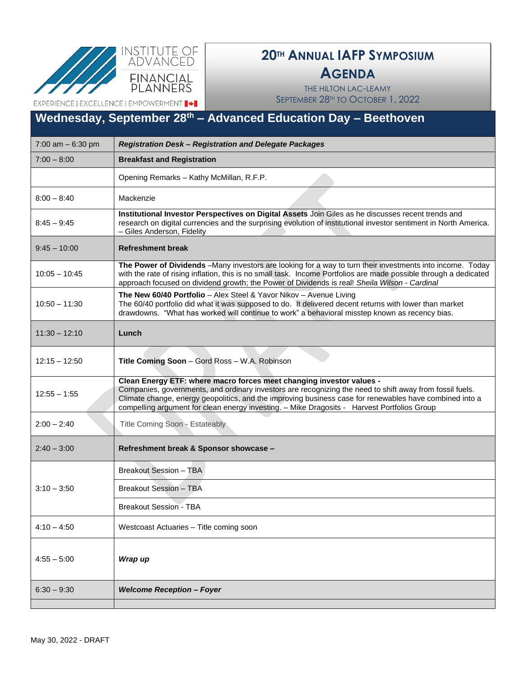



### **AGENDA**

THE HILTON LAC-LEAMY SEPTEMBER 28<sup>TH</sup> TO OCTOBER 1, 2022

EXPERIENCE | EXCELLENCE | EMPOWERMENT |  $\blacklozenge$  |

## **Wednesday, September 28th – Advanced Education Day – Beethoven**

| 7:00 am $-6:30$ pm | Registration Desk - Registration and Delegate Packages                                                                                                                                                                                                                                                                                                                                     |  |  |
|--------------------|--------------------------------------------------------------------------------------------------------------------------------------------------------------------------------------------------------------------------------------------------------------------------------------------------------------------------------------------------------------------------------------------|--|--|
| $7:00 - 8:00$      | <b>Breakfast and Registration</b>                                                                                                                                                                                                                                                                                                                                                          |  |  |
|                    | Opening Remarks - Kathy McMillan, R.F.P.                                                                                                                                                                                                                                                                                                                                                   |  |  |
| $8:00 - 8:40$      | Mackenzie                                                                                                                                                                                                                                                                                                                                                                                  |  |  |
| $8:45 - 9:45$      | Institutional Investor Perspectives on Digital Assets Join Giles as he discusses recent trends and<br>research on digital currencies and the surprising evolution of institutional investor sentiment in North America.<br>- Giles Anderson, Fidelity                                                                                                                                      |  |  |
| $9:45 - 10:00$     | <b>Refreshment break</b>                                                                                                                                                                                                                                                                                                                                                                   |  |  |
| $10:05 - 10:45$    | The Power of Dividends -Many investors are looking for a way to turn their investments into income. Today<br>with the rate of rising inflation, this is no small task. Income Portfolios are made possible through a dedicated<br>approach focused on dividend growth; the Power of Dividends is real! Sheila Wilson - Cardinal                                                            |  |  |
| $10:50 - 11:30$    | The New 60/40 Portfolio - Alex Steel & Yavor Nikov - Avenue Living<br>The 60/40 portfolio did what it was supposed to do. It delivered decent returns with lower than market<br>drawdowns. "What has worked will continue to work" a behavioral misstep known as recency bias.                                                                                                             |  |  |
| $11:30 - 12:10$    | Lunch                                                                                                                                                                                                                                                                                                                                                                                      |  |  |
| $12:15 - 12:50$    | Title Coming Soon - Gord Ross - W.A. Robinson                                                                                                                                                                                                                                                                                                                                              |  |  |
| $12:55 - 1:55$     | Clean Energy ETF: where macro forces meet changing investor values -<br>Companies, governments, and ordinary investors are recognizing the need to shift away from fossil fuels.<br>Climate change, energy geopolitics, and the improving business case for renewables have combined into a<br>compelling argument for clean energy investing. - Mike Dragosits - Harvest Portfolios Group |  |  |
| $2:00 - 2:40$      | Title Coming Soon - Estateably                                                                                                                                                                                                                                                                                                                                                             |  |  |
| $2:40 - 3:00$      | Refreshment break & Sponsor showcase -                                                                                                                                                                                                                                                                                                                                                     |  |  |
|                    | Breakout Session - TBA                                                                                                                                                                                                                                                                                                                                                                     |  |  |
| $3:10 - 3:50$      | <b>Breakout Session - TBA</b>                                                                                                                                                                                                                                                                                                                                                              |  |  |
|                    | <b>Breakout Session - TBA</b>                                                                                                                                                                                                                                                                                                                                                              |  |  |
| $4:10 - 4:50$      | Westcoast Actuaries - Title coming soon                                                                                                                                                                                                                                                                                                                                                    |  |  |
| $4:55 - 5:00$      | Wrap up                                                                                                                                                                                                                                                                                                                                                                                    |  |  |
| $6:30 - 9:30$      | <b>Welcome Reception - Foyer</b>                                                                                                                                                                                                                                                                                                                                                           |  |  |
|                    |                                                                                                                                                                                                                                                                                                                                                                                            |  |  |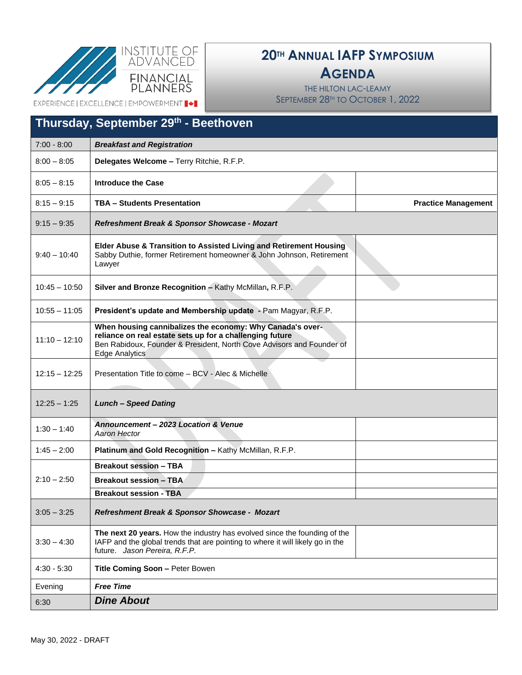



### **AGENDA**

THE HILTON LAC-LEAMY SEPTEMBER 28<sup>TH</sup> TO OCTOBER 1, 2022

EXPERIENCE | EXCELLENCE | EMPOWERMENT | +

| Thursday, September 29 <sup>th</sup> - Beethoven |                                                                                                                                                                                                                         |                            |  |  |
|--------------------------------------------------|-------------------------------------------------------------------------------------------------------------------------------------------------------------------------------------------------------------------------|----------------------------|--|--|
| $7:00 - 8:00$                                    | <b>Breakfast and Registration</b>                                                                                                                                                                                       |                            |  |  |
| $8:00 - 8:05$                                    | Delegates Welcome - Terry Ritchie, R.F.P.                                                                                                                                                                               |                            |  |  |
| $8:05 - 8:15$                                    | <b>Introduce the Case</b>                                                                                                                                                                                               |                            |  |  |
| $8:15 - 9:15$                                    | <b>TBA - Students Presentation</b>                                                                                                                                                                                      | <b>Practice Management</b> |  |  |
| $9:15 - 9:35$                                    | Refreshment Break & Sponsor Showcase - Mozart                                                                                                                                                                           |                            |  |  |
| $9:40 - 10:40$                                   | Elder Abuse & Transition to Assisted Living and Retirement Housing<br>Sabby Duthie, former Retirement homeowner & John Johnson, Retirement<br>Lawyer                                                                    |                            |  |  |
| $10:45 - 10:50$                                  | Silver and Bronze Recognition - Kathy McMillan, R.F.P.                                                                                                                                                                  |                            |  |  |
| $10:55 - 11:05$                                  | President's update and Membership update - Pam Magyar, R.F.P.                                                                                                                                                           |                            |  |  |
| $11:10 - 12:10$                                  | When housing cannibalizes the economy: Why Canada's over-<br>reliance on real estate sets up for a challenging future<br>Ben Rabidoux, Founder & President, North Cove Advisors and Founder of<br><b>Edge Analytics</b> |                            |  |  |
| $12:15 - 12:25$                                  | Presentation Title to come - BCV - Alec & Michelle                                                                                                                                                                      |                            |  |  |
| $12:25 - 1:25$                                   | <b>Lunch - Speed Dating</b>                                                                                                                                                                                             |                            |  |  |
| $1:30 - 1:40$                                    | Announcement - 2023 Location & Venue<br>Aaron Hector                                                                                                                                                                    |                            |  |  |
| $1:45 - 2:00$                                    | Platinum and Gold Recognition - Kathy McMillan, R.F.P.                                                                                                                                                                  |                            |  |  |
|                                                  | <b>Breakout session - TBA</b>                                                                                                                                                                                           |                            |  |  |
| $2:10 - 2:50$                                    | <b>Breakout session - TBA</b>                                                                                                                                                                                           |                            |  |  |
|                                                  | <b>Breakout session - TBA</b>                                                                                                                                                                                           |                            |  |  |
| $3:05 - 3:25$                                    | Refreshment Break & Sponsor Showcase - Mozart                                                                                                                                                                           |                            |  |  |
| $3:30 - 4:30$                                    | The next 20 years. How the industry has evolved since the founding of the<br>IAFP and the global trends that are pointing to where it will likely go in the<br>future. Jason Pereira, R.F.P.                            |                            |  |  |
| $4:30 - 5:30$                                    | Title Coming Soon - Peter Bowen                                                                                                                                                                                         |                            |  |  |
| Evening                                          | <b>Free Time</b>                                                                                                                                                                                                        |                            |  |  |
| 6:30                                             | <b>Dine About</b>                                                                                                                                                                                                       |                            |  |  |
|                                                  |                                                                                                                                                                                                                         |                            |  |  |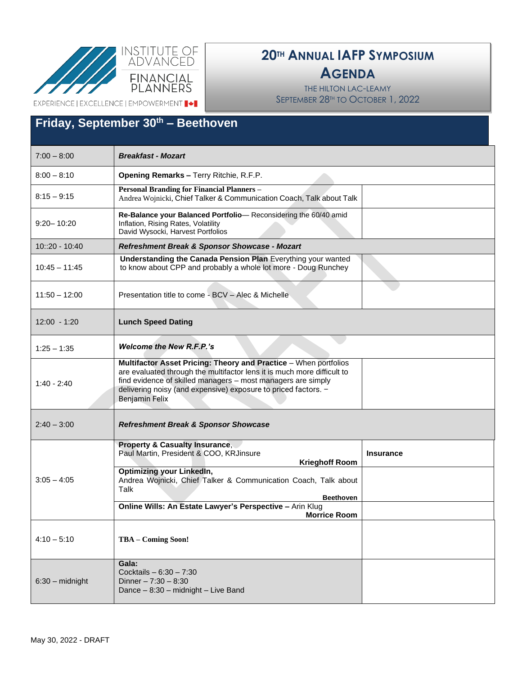

#### **AGENDA**

THE HILTON LAC-LEAMY SEPTEMBER 28TH TO OCTOBER 1, 2022

EXPERIENCE | EXCELLENCE | EMPOWERMENT  $\blacktriangleright$ 

#### 7:00 – 8:00 *Breakfast - Mozart* 8:00 – 8:10 **Opening Remarks –** Terry Ritchie, R.F.P.  $8:15 - 9:15$ **Personal Branding for Financial Planners –** Andrea Wojnicki, Chief Talker & Communication Coach, Talk about Talk 9:20– 10:20 **Re-Balance your Balanced Portfolio**— Reconsidering the 60/40 amid Inflation, Rising Rates, Volatility David Wysocki, Harvest Portfolios 10::20 - 10:40 *Refreshment Break & Sponsor Showcase - Mozart* 10:45 – 11:45 **Understanding the Canada Pension Plan** Everything your wanted to know about CPP and probably a whole lot more - Doug Runchey 11:50 – 12:00 Presentation title to come - BCV – Alec & Michelle 12:00 - 1:20 **Lunch Speed Dating** 1:25 – 1:35 *Welcome the New R.F.P.'s* 1:40 - 2:40 **Multifactor Asset Pricing: Theory and Practice** – When portfolios are evaluated through the multifactor lens it is much more difficult to find evidence of skilled managers – most managers are simply delivering noisy (and expensive) exposure to priced factors. – Benjamin Felix Benjamin Felix 2:40 – 3:00 *Refreshment Break & Sponsor Showcase*  $3:05 - 4:05$ **Property & Casualty Insurance**, Paul Martin, President & COO, KRJinsure **Krieghoff Room Insurance Optimizing your LinkedIn,**  Andrea Wojnicki, Chief Talker & Communication Coach, Talk about Talk  **Beethoven Online Wills: An Estate Lawyer's Perspective –** Arin Klug **Morrice Room** 4:10 – 5:10 **TBA – Coming Soon!** 6:30 – midnight **Gala:**  Cocktails – 6:30 – 7:30 Dinner – 7:30 – 8:30 Dance – 8:30 – midnight – Live Band **Friday, September 30th – Beethoven**